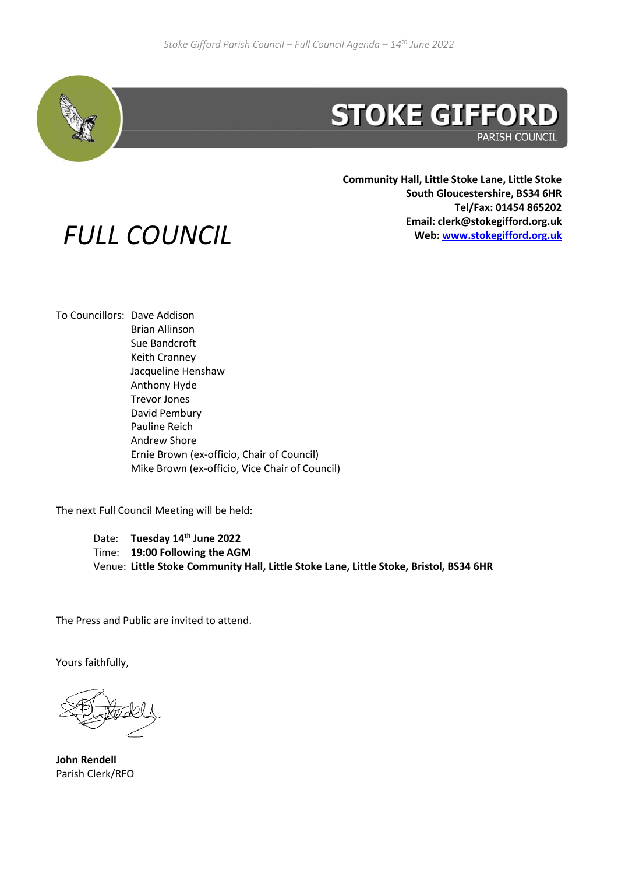

**PARISH COUNCIL** 

**Community Hall, Little Stoke Lane, Little Stoke South Gloucestershire, BS34 6HR Tel/Fax: 01454 865202 Email: clerk@stokegifford.org.uk Web: [www.stokegifford.org.uk](http://www.stokegifford.org.uk/)**

## *FULL COUNCIL*

To Councillors: Dave Addison Brian Allinson Sue Bandcroft Keith Cranney Jacqueline Henshaw Anthony Hyde Trevor Jones David Pembury Pauline Reich Andrew Shore Ernie Brown (ex-officio, Chair of Council) Mike Brown (ex-officio, Vice Chair of Council)

The next Full Council Meeting will be held:

Date: **Tuesday 14 th June 2022** Time: **19:00 Following the AGM** Venue: **Little Stoke Community Hall, Little Stoke Lane, Little Stoke, Bristol, BS34 6HR**

The Press and Public are invited to attend.

Yours faithfully,

**John Rendell** Parish Clerk/RFO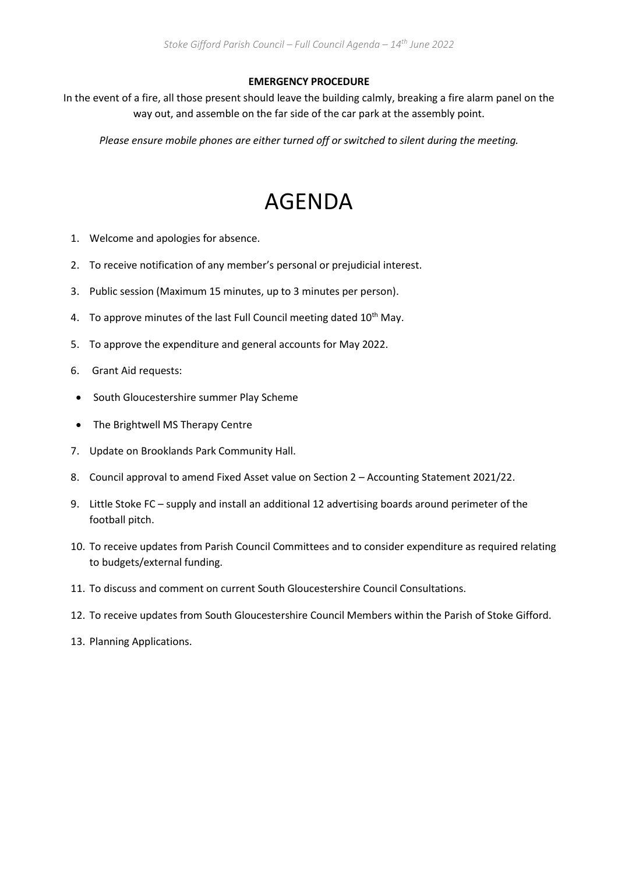## **EMERGENCY PROCEDURE**

In the event of a fire, all those present should leave the building calmly, breaking a fire alarm panel on the way out, and assemble on the far side of the car park at the assembly point.

*Please ensure mobile phones are either turned off or switched to silent during the meeting.*

## AGENDA

- 1. Welcome and apologies for absence.
- 2. To receive notification of any member's personal or prejudicial interest.
- 3. Public session (Maximum 15 minutes, up to 3 minutes per person).
- 4. To approve minutes of the last Full Council meeting dated 10<sup>th</sup> May.
- 5. To approve the expenditure and general accounts for May 2022.
- 6. Grant Aid requests:
- South Gloucestershire summer Play Scheme
- The Brightwell MS Therapy Centre
- 7. Update on Brooklands Park Community Hall.
- 8. Council approval to amend Fixed Asset value on Section 2 Accounting Statement 2021/22.
- 9. Little Stoke FC supply and install an additional 12 advertising boards around perimeter of the football pitch.
- 10. To receive updates from Parish Council Committees and to consider expenditure as required relating to budgets/external funding.
- 11. To discuss and comment on current South Gloucestershire Council Consultations.
- 12. To receive updates from South Gloucestershire Council Members within the Parish of Stoke Gifford.
- 13. Planning Applications.